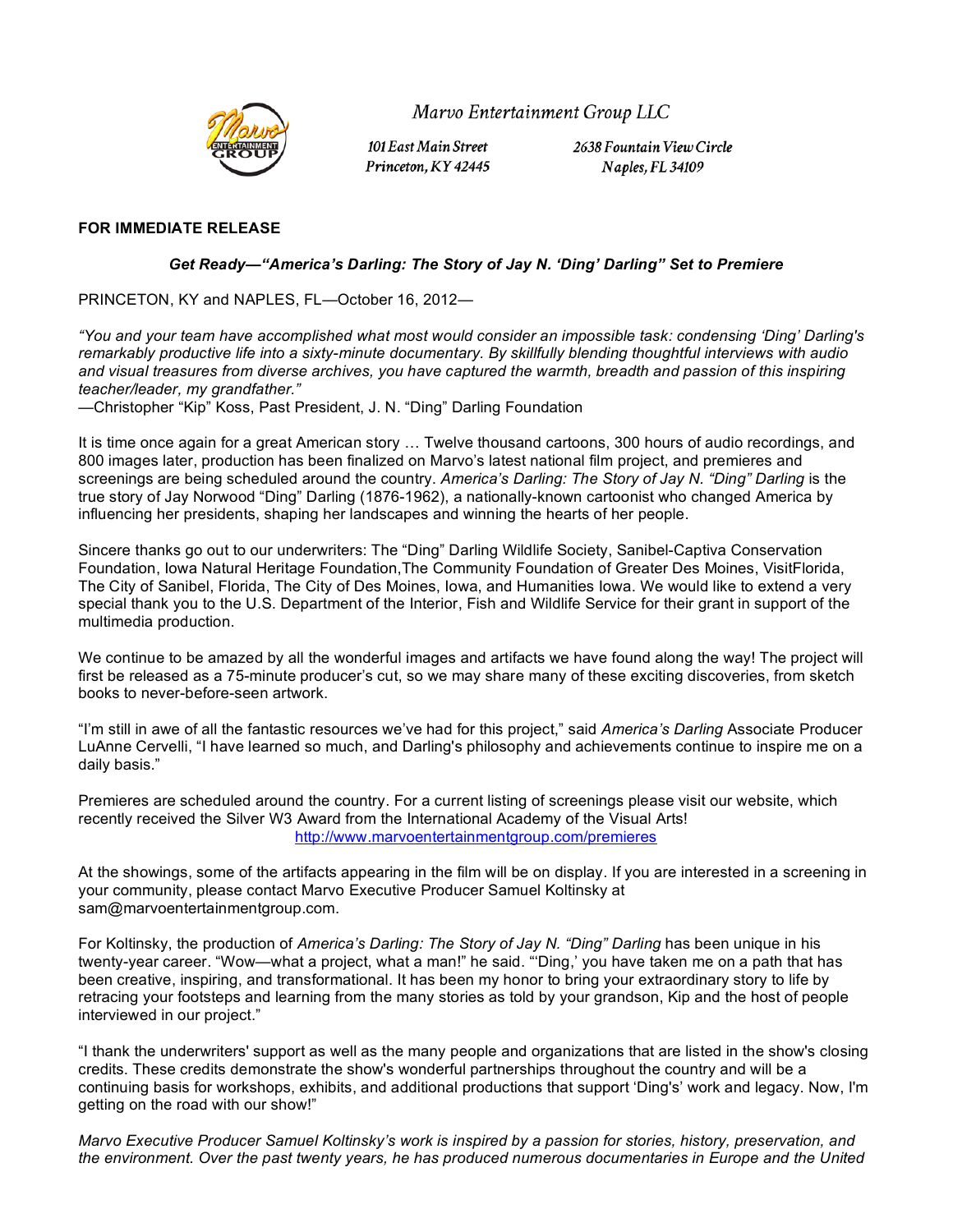

Marvo Entertainment Group LLC

101 East Main Street Princeton, KY 42445 2638 Fountain View Circle Naples, FL 34109

## **FOR IMMEDIATE RELEASE**

## *Get Ready***—***"America's Darling: The Story of Jay N. 'Ding' Darling" Set to Premiere*

PRINCETON, KY and NAPLES, FL—October 16, 2012—

*"You and your team have accomplished what most would consider an impossible task: condensing 'Ding' Darling's remarkably productive life into a sixty-minute documentary. By skillfully blending thoughtful interviews with audio and visual treasures from diverse archives, you have captured the warmth, breadth and passion of this inspiring teacher/leader, my grandfather."*

—Christopher "Kip" Koss, Past President, J. N. "Ding" Darling Foundation

It is time once again for a great American story … Twelve thousand cartoons, 300 hours of audio recordings, and 800 images later, production has been finalized on Marvo's latest national film project, and premieres and screenings are being scheduled around the country. America's Darling: The Story of Jay N. "Ding" Darling is the true story of Jay Norwood "Ding" Darling (1876-1962), a nationally-known cartoonist who changed America by influencing her presidents, shaping her landscapes and winning the hearts of her people.

Sincere thanks go out to our underwriters: The "Ding" Darling Wildlife Society, Sanibel-Captiva Conservation Foundation, Iowa Natural Heritage Foundation,The Community Foundation of Greater Des Moines, VisitFlorida, The City of Sanibel, Florida, The City of Des Moines, Iowa, and Humanities Iowa. We would like to extend a very special thank you to the U.S. Department of the Interior, Fish and Wildlife Service for their grant in support of the multimedia production.

We continue to be amazed by all the wonderful images and artifacts we have found along the way! The project will first be released as a 75-minute producer's cut, so we may share many of these exciting discoveries, from sketch books to never-before-seen artwork.

"I'm still in awe of all the fantastic resources we've had for this project," said *America's Darling* Associate Producer LuAnne Cervelli, "I have learned so much, and Darling's philosophy and achievements continue to inspire me on a daily basis."

Premieres are scheduled around the country. For a current listing of screenings please visit our website, which recently received the Silver W3 Award from the International Academy of the Visual Arts! http://www.marvoentertainmentgroup.com/premieres

At the showings, some of the artifacts appearing in the film will be on display. If you are interested in a screening in your community, please contact Marvo Executive Producer Samuel Koltinsky at sam@marvoentertainmentgroup.com.

For Koltinsky, the production of *America's Darling: The Story of Jay N. "Ding" Darling* has been unique in his twenty-year career. "Wow—what a project, what a man!" he said. "'Ding,' you have taken me on a path that has been creative, inspiring, and transformational. It has been my honor to bring your extraordinary story to life by retracing your footsteps and learning from the many stories as told by your grandson, Kip and the host of people interviewed in our project."

"I thank the underwriters' support as well as the many people and organizations that are listed in the show's closing credits. These credits demonstrate the show's wonderful partnerships throughout the country and will be a continuing basis for workshops, exhibits, and additional productions that support 'Ding's' work and legacy. Now, I'm getting on the road with our show!"

*Marvo Executive Producer Samuel Koltinsky's work is inspired by a passion for stories, history, preservation, and the environment. Over the past twenty years, he has produced numerous documentaries in Europe and the United*